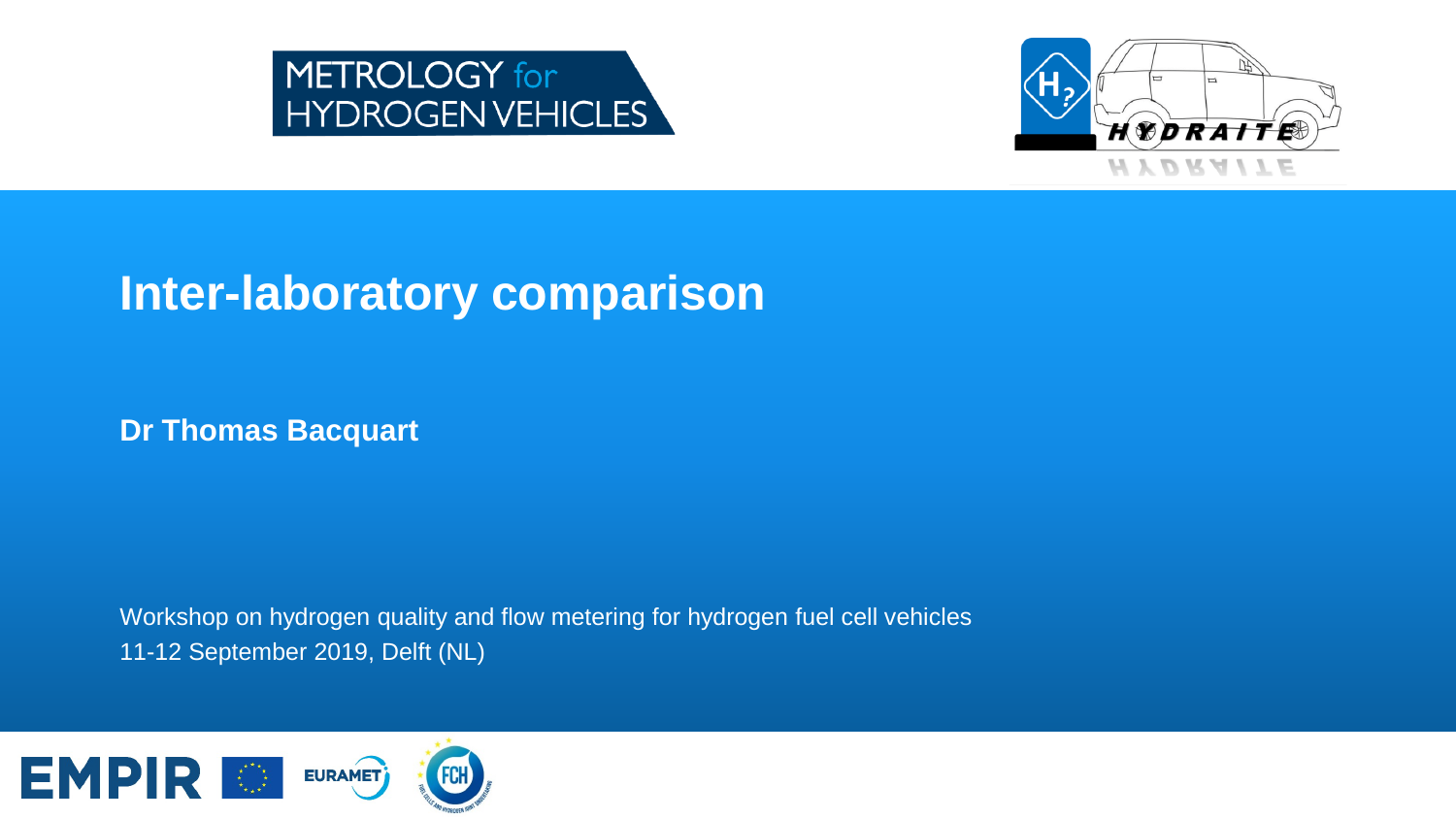



### **Inter-laboratory comparison**

**Dr Thomas Bacquart**

Workshop on hydrogen quality and flow metering for hydrogen fuel cell vehicles 11-12 September 2019, Delft (NL)

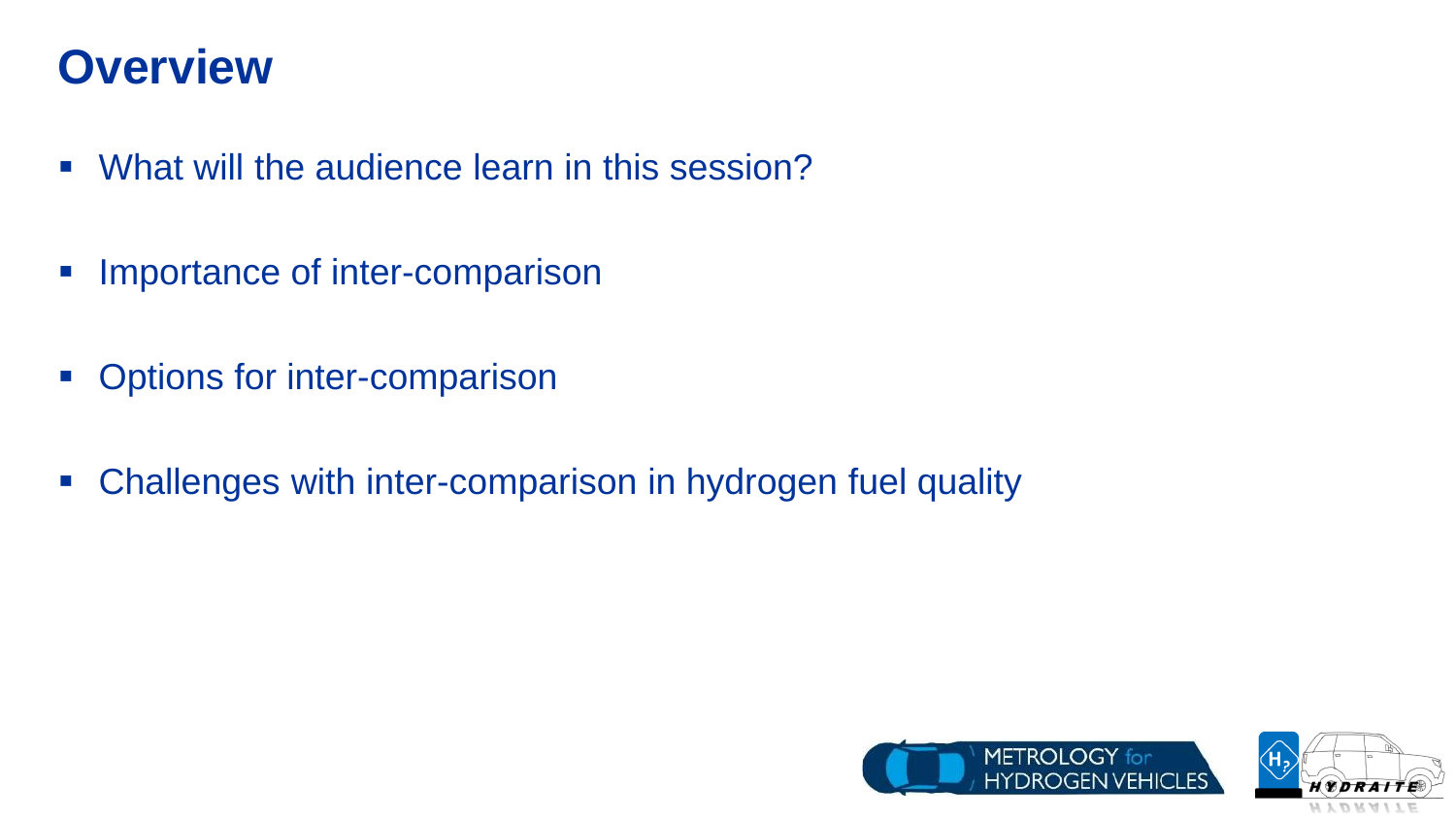### **Overview**

- What will the audience learn in this session?
- **Importance of inter-comparison**
- Options for inter-comparison
- **EX Challenges with inter-comparison in hydrogen fuel quality**



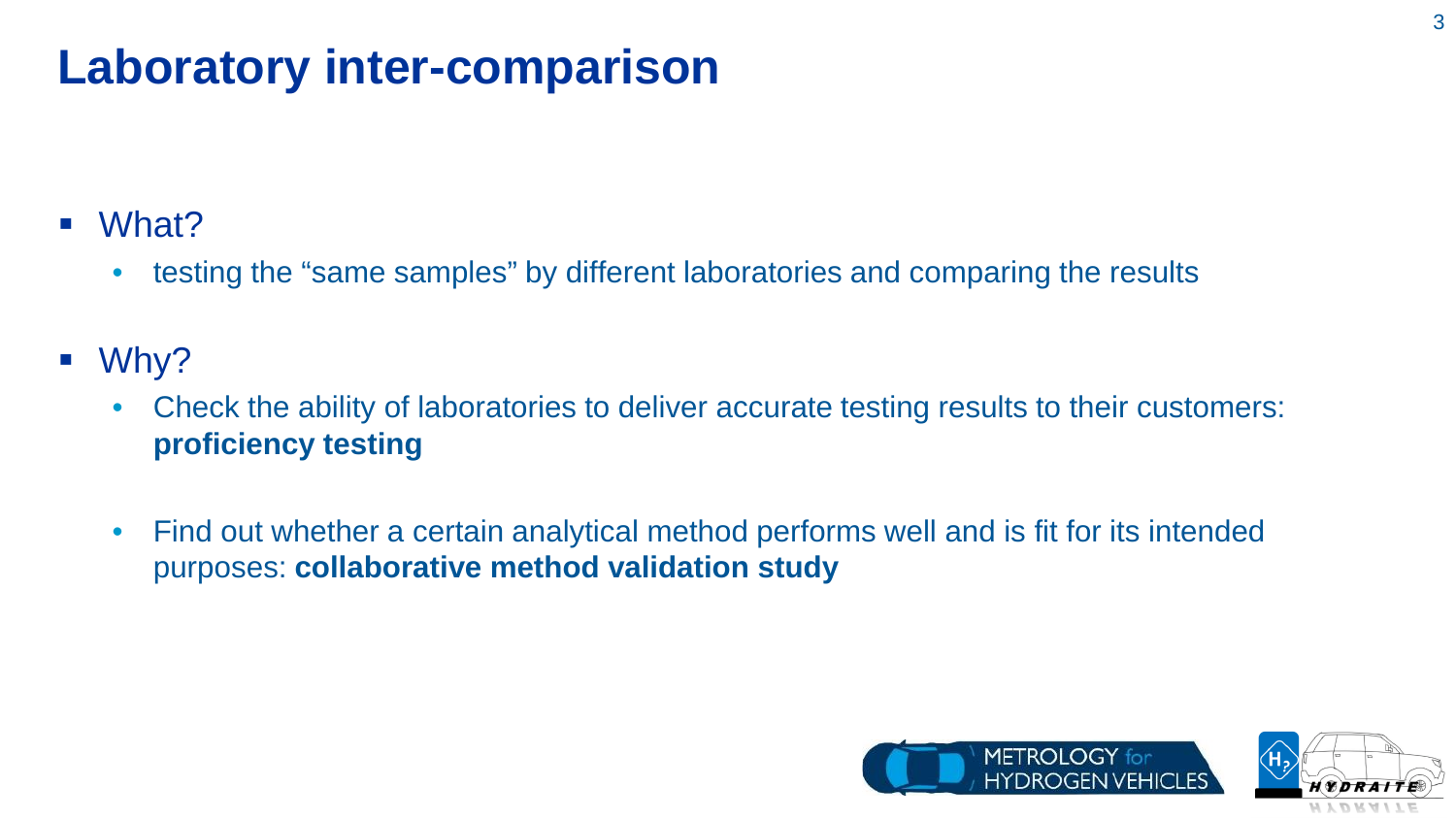# **Laboratory inter-comparison**

- What?
	- testing the "same samples" by different laboratories and comparing the results
- Why?
	- Check the ability of laboratories to deliver accurate testing results to their customers: **proficiency testing**
	- Find out whether a certain analytical method performs well and is fit for its intended purposes: **collaborative method validation study**



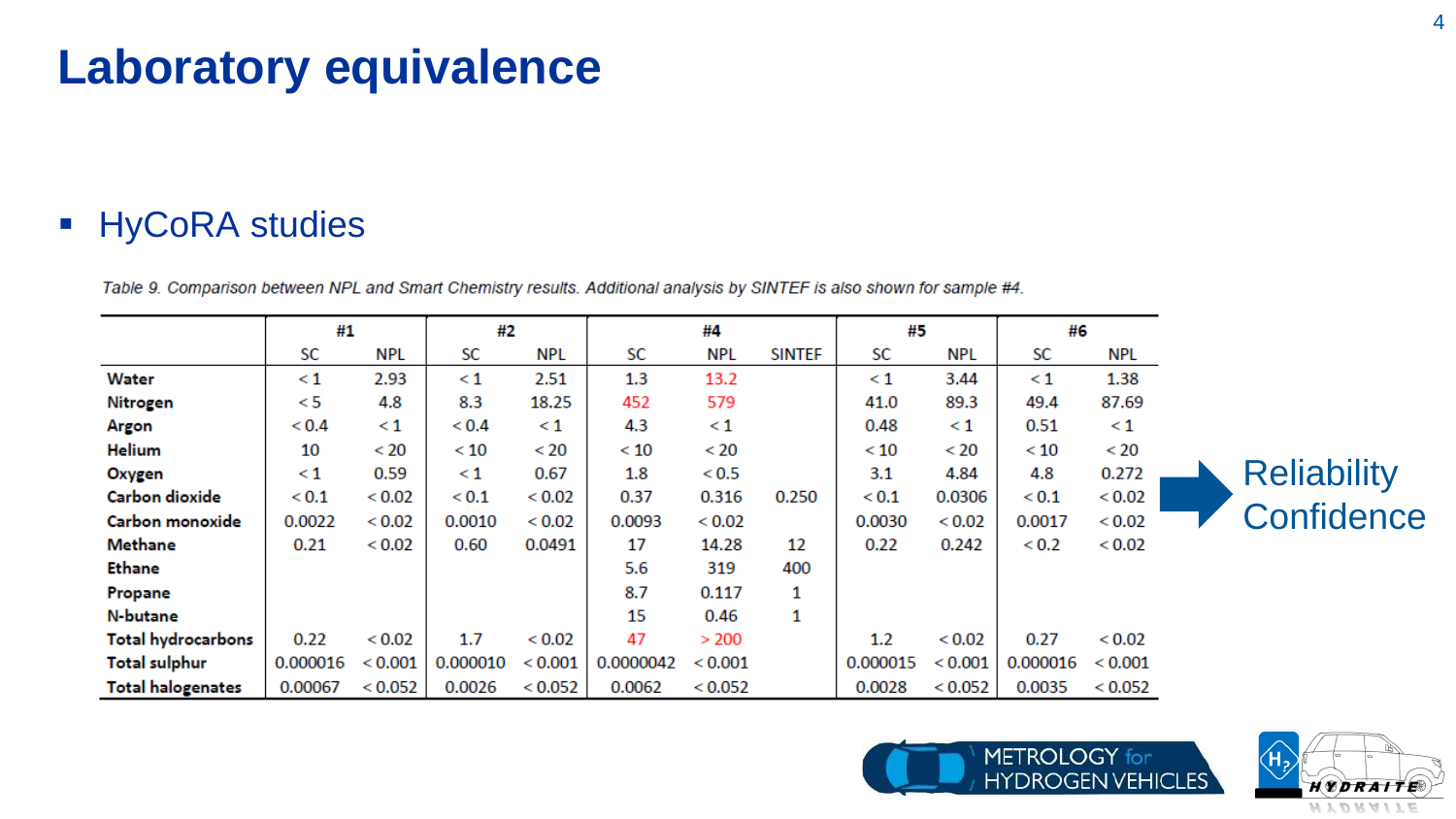# **Laboratory equivalence**

#### **HyCoRA studies**

Table 9. Comparison between NPL and Smart Chemistry results. Additional analysis by SINTEF is also shown for sample #4.

|                           | #1           |               | #2           |            | #4        |            |               | #5           |            | #6           |               |  |
|---------------------------|--------------|---------------|--------------|------------|-----------|------------|---------------|--------------|------------|--------------|---------------|--|
|                           | SC           | NPL           | SC           | <b>NPL</b> | SC        | <b>NPL</b> | <b>SINTEF</b> | SC           | <b>NPL</b> | SC           | NPL           |  |
| Water                     | $\leq 1$     | 2.93          | $\leq 1$     | 2.51       | 1.3       | 13.2       |               | $\leq 1$     | 3.44       | $\leq 1$     | 1.38          |  |
| Nitrogen                  | < 5          | 4.8           | 8.3          | 18.25      | 452       | 579        |               | 41.0         | 89.3       | 49.4         | 87.69         |  |
| Argon                     | ${}_{< 0.4}$ | $\leq 1$      | ${}_{0.4}$   | $\leq 1$   | 4.3       | $\leq 1$   |               | 0.48         | $\leq 1$   | 0.51         | $\leq 1$      |  |
| <b>Helium</b>             | 10           | < 20          | < 10         | < 20       | < 10      | < 20       |               | < 10         | < 20       | < 10         | < 20          |  |
| Oxygen                    | $\leq 1$     | 0.59          | $\leq 1$     | 0.67       | 1.8       | < 0.5      |               | 3.1          | 4.84       | 4.8          | 0.272         |  |
| Carbon dioxide            | ${}_{< 0.1}$ | < 0.02        | ${}_{< 0.1}$ | < 0.02     | 0.37      | 0.316      | 0.250         | ${}_{< 0.1}$ | 0.0306     | ${}_{< 0.1}$ | ${}_{< 0.02}$ |  |
| Carbon monoxide           | 0.0022       | ${}_{< 0.02}$ | 0.0010       | < 0.02     | 0.0093    | < 0.02     |               | 0.0030       | < 0.02     | 0.0017       | < 0.02        |  |
| <b>Methane</b>            | 0.21         | ${}_{< 0.02}$ | 0.60         | 0.0491     | 17        | 14.28      | 12            | 0.22         | 0.242      | < 0.2        | < 0.02        |  |
| <b>Ethane</b>             |              |               |              |            | 5.6       | 319        | 400           |              |            |              |               |  |
| Propane                   |              |               |              |            | 8.7       | 0.117      | 1             |              |            |              |               |  |
| N-butane                  |              |               |              |            | 15        | 0.46       | 1             |              |            |              |               |  |
| <b>Total hydrocarbons</b> | 0.22         | < 0.02        | 1.7          | < 0.02     | 47        | > 200      |               | 1.2          | < 0.02     | 0.27         | < 0.02        |  |
| <b>Total sulphur</b>      | 0.000016     | < 0.001       | 0.000010     | < 0.001    | 0.0000042 | < 0.001    |               | 0.000015     | < 0.001    | 0.000016     | < 0.001       |  |
| <b>Total halogenates</b>  | 0.00067      | < 0.052       | 0.0026       | < 0.052    | 0.0062    | < 0.052    |               | 0.0028       | < 0.052    | 0.0035       | < 0.052       |  |





**Reliability** 

**Confidence**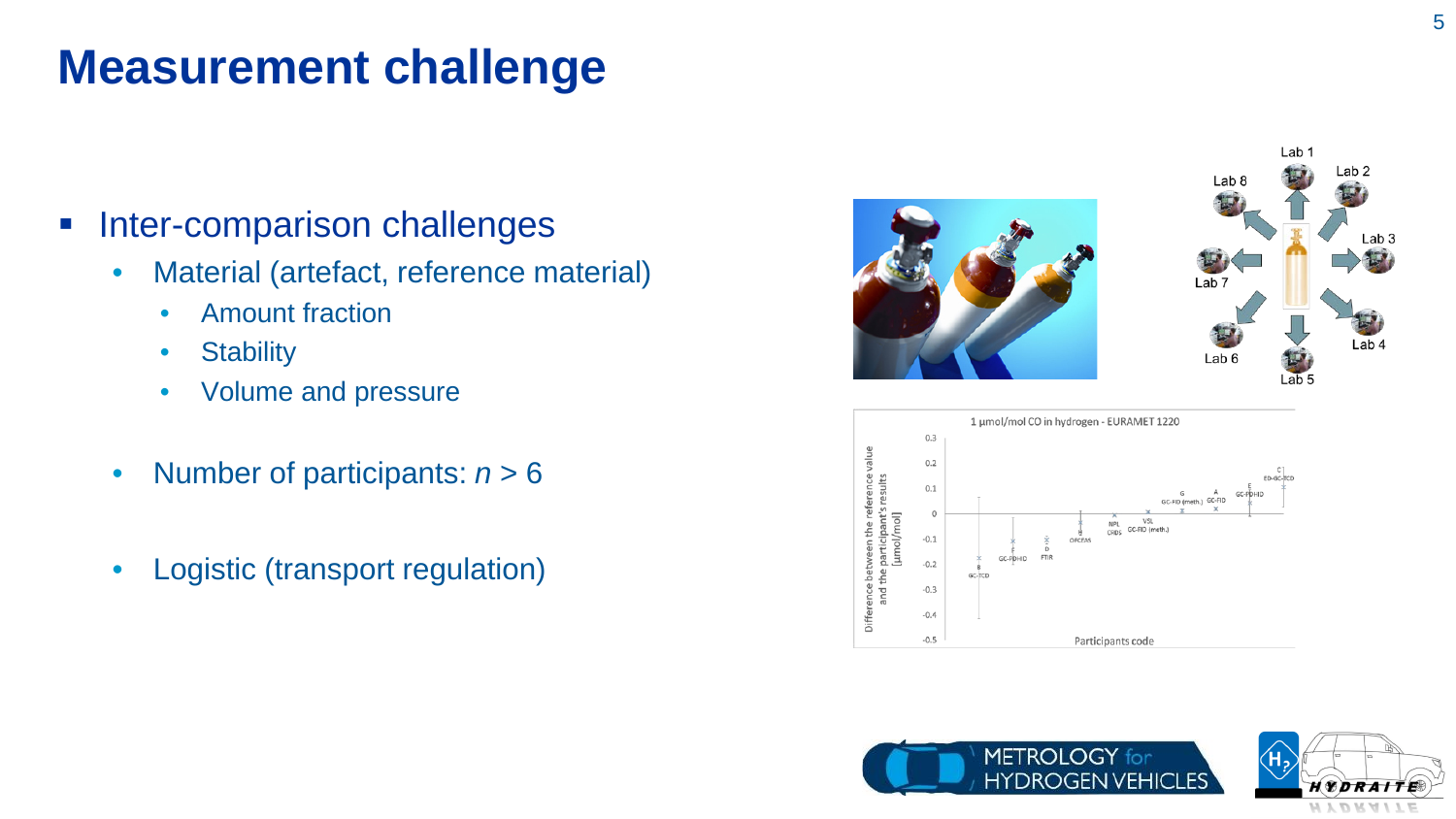### **Measurement challenge**

#### **Inter-comparison challenges**

- Material (artefact, reference material)
	- Amount fraction
	- Stability
	- Volume and pressure
- Number of participants: *n* > 6
- Logistic (transport regulation)









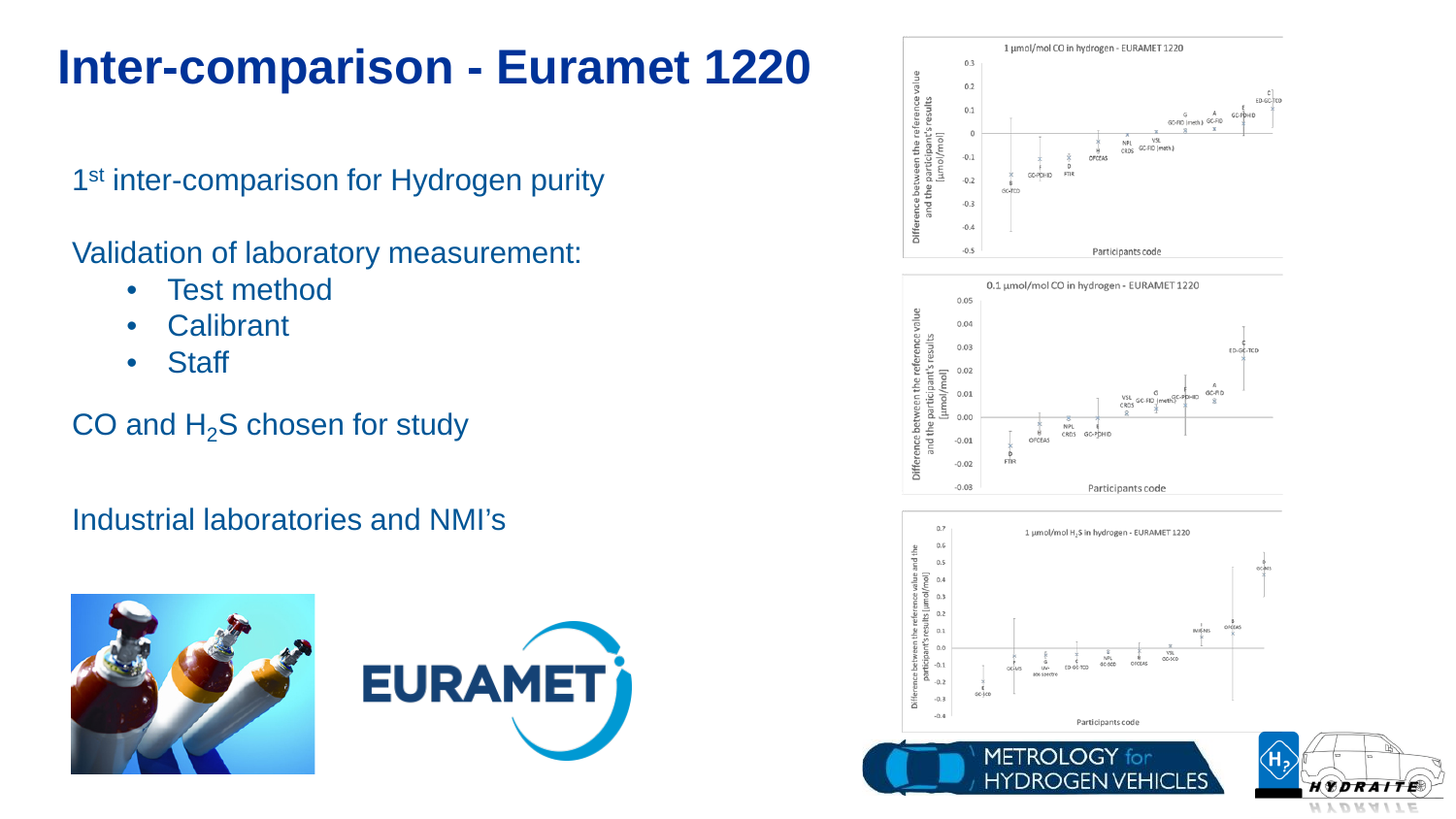# **Inter-comparison - Euramet 1220**

1<sup>st</sup> inter-comparison for Hydrogen purity

Validation of laboratory measurement:

- Test method
- Calibrant
- Staff

#### CO and  $H_2S$  chosen for study

Industrial laboratories and NMI's







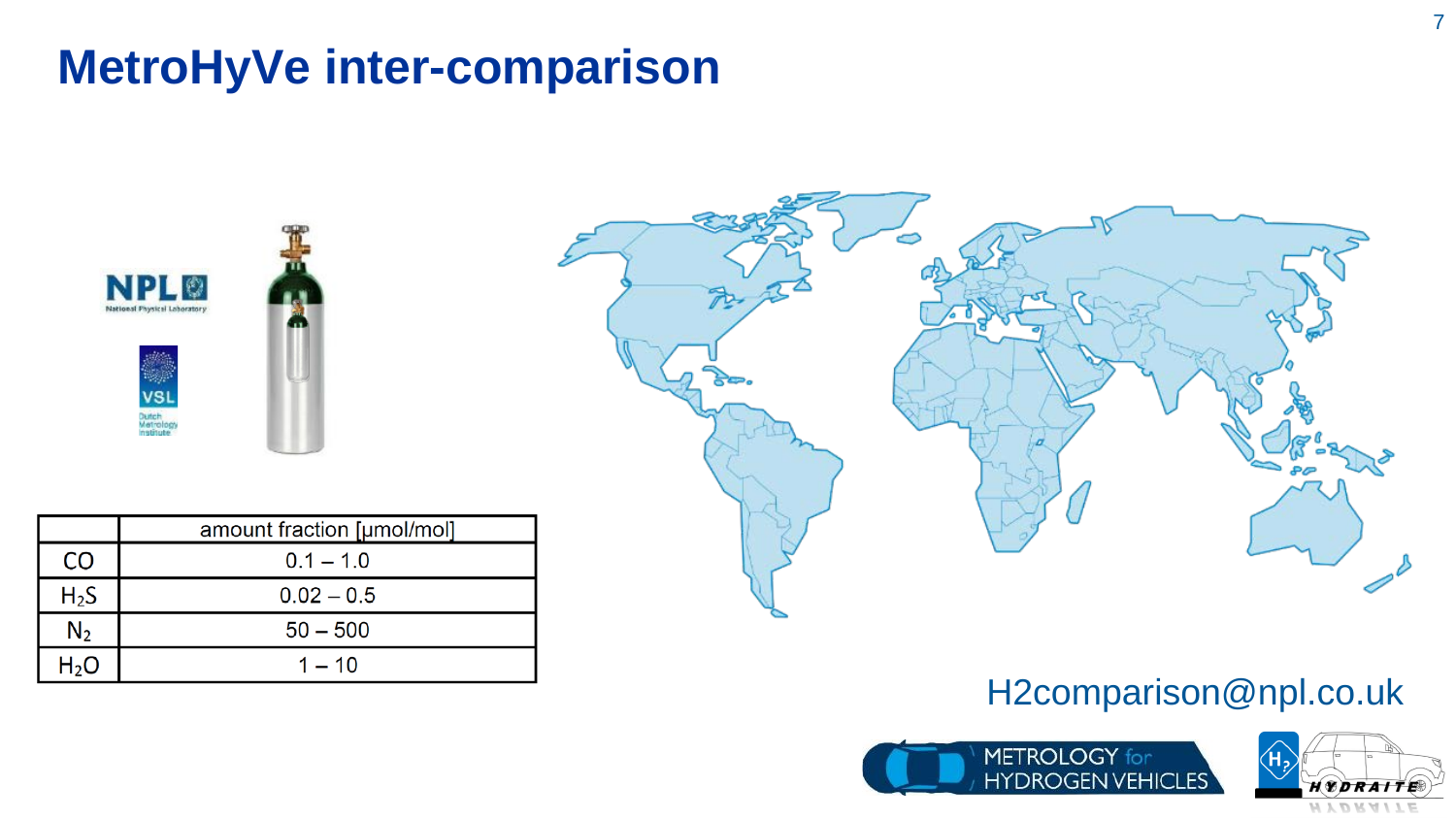### **MetroHyVe inter-comparison**





|                  | amount fraction [µmol/mol] |
|------------------|----------------------------|
| CO               | $0.1 - 1.0$                |
| H <sub>2</sub> S | $0.02 - 0.5$               |
| $\mathsf{N}_2$   | $50 - 500$                 |
| $H_2O$           | $1 - 10$                   |



#### H2comparison@npl.co.uk



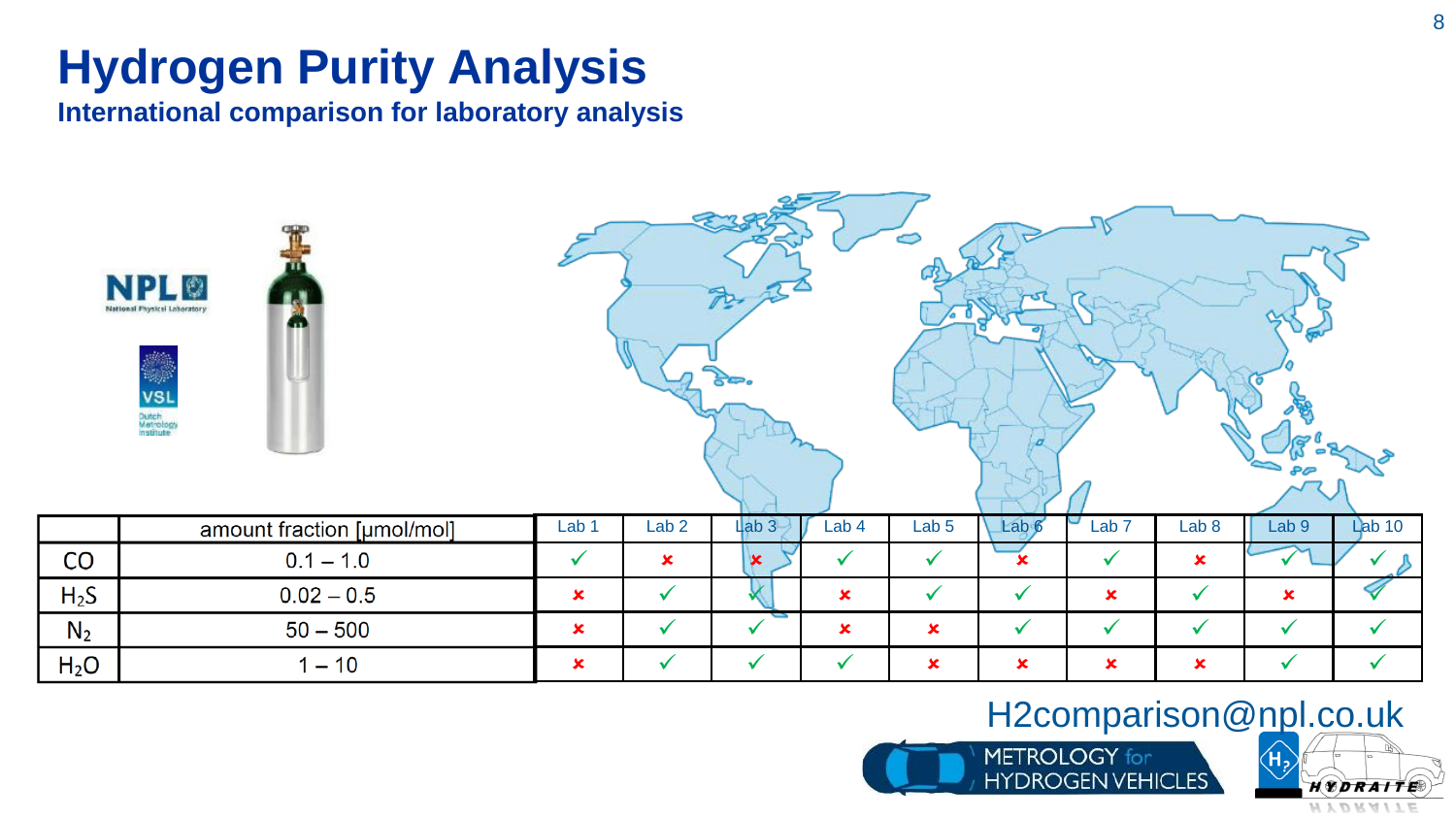# **Hydrogen Purity Analysis**

**International comparison for laboratory analysis**

|                  | <b>NPL©</b><br>National Physical Laboratory<br>m<br>W,<br><b>VSL</b><br>Dutch<br>Metrology<br>Institute |                  |                  |                       |                |                           |                  |                           |                           |              |              |
|------------------|---------------------------------------------------------------------------------------------------------|------------------|------------------|-----------------------|----------------|---------------------------|------------------|---------------------------|---------------------------|--------------|--------------|
|                  | amount fraction [µmol/mol]                                                                              | Lab <sub>1</sub> | Lab <sub>2</sub> | Lab <sub>3</sub>      | Lab 4          | Lab <sub>5</sub>          | Lab <sub>6</sub> | Lab <sub>7</sub>          | Lab 8                     | Lab 9        | Lab 10       |
| CO               | $0.1 - 1.0$                                                                                             | $\checkmark$     | $\mathbf x$      | $\mathbf{\mathbf{x}}$ | ✔              | $\checkmark$              |                  | $\checkmark$              | $\mathbf x$               |              |              |
| $H_2S$           | $0.02 - 0.5$                                                                                            |                  | $\checkmark$     |                       | $\mathbf x$    | $\checkmark$              | $\checkmark$     | $\boldsymbol{\mathsf{x}}$ | $\checkmark$              | $\mathbf x$  |              |
| $N_2$            | $50 - 500$                                                                                              |                  | $\checkmark$     | $\checkmark$          | $\pmb{\times}$ | $\mathbf x$               | $\checkmark$     | $\checkmark$              | $\checkmark$              | $\checkmark$ | $\checkmark$ |
| H <sub>2</sub> O | $1 - 10$                                                                                                | $\pmb{\times}$   | $\checkmark$     | $\checkmark$          | ✓              | $\boldsymbol{\mathsf{x}}$ | $\mathbf x$      | $\boldsymbol{\mathsf{x}}$ | $\boldsymbol{\mathsf{x}}$ | ✔            | $\checkmark$ |

#### H2comparison@npl.co.uk



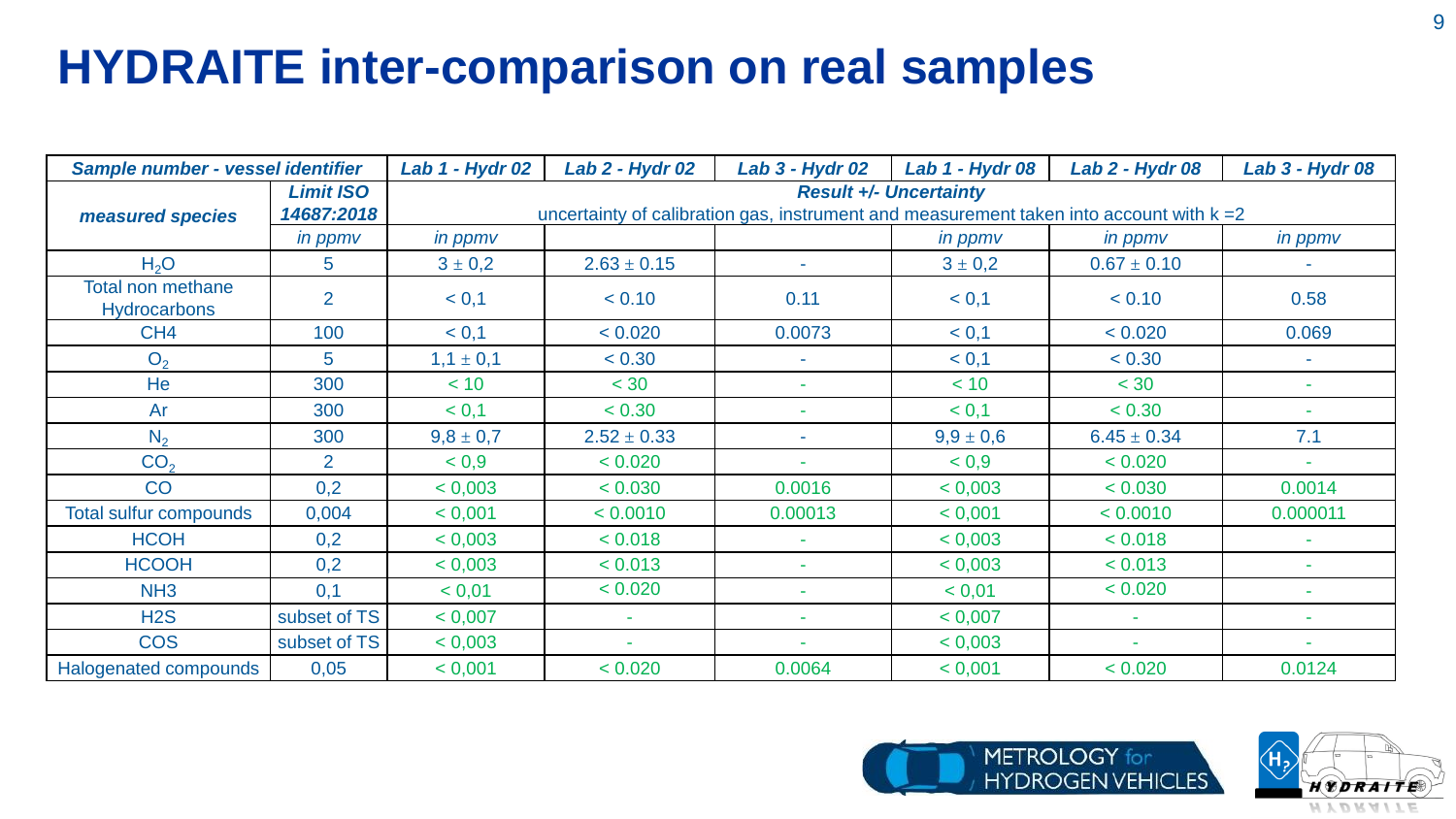# **HYDRAITE inter-comparison on real samples**

| Sample number - vessel identifier               |                                | Lab 1 - Hydr 02                                                                                                             | Lab 2 - Hydr 02 | <b>Lab 3 - Hydr 02</b> | Lab 1 - Hydr 08 | <b>Lab 2 - Hydr 08</b>   | <b>Lab 3 - Hydr 08</b> |  |  |  |  |
|-------------------------------------------------|--------------------------------|-----------------------------------------------------------------------------------------------------------------------------|-----------------|------------------------|-----------------|--------------------------|------------------------|--|--|--|--|
| measured species                                | <b>Limit ISO</b><br>14687:2018 | <b>Result +/- Uncertainty</b><br>uncertainty of calibration gas, instrument and measurement taken into account with $k = 2$ |                 |                        |                 |                          |                        |  |  |  |  |
|                                                 | <i>in ppmv</i>                 | in ppmv                                                                                                                     |                 |                        | in ppmv         | in ppmv                  | in ppmv                |  |  |  |  |
| H <sub>2</sub> O                                | 5                              | $3 \pm 0.2$                                                                                                                 | $2.63 \pm 0.15$ |                        | $3 \pm 0.2$     | $0.67 \pm 0.10$          |                        |  |  |  |  |
| <b>Total non methane</b><br><b>Hydrocarbons</b> | 2                              | < 0,1                                                                                                                       | < 0.10          | 0.11                   | < 0,1           | < 0.10                   | 0.58                   |  |  |  |  |
| CH <sub>4</sub>                                 | 100                            | < 0,1                                                                                                                       | < 0.020         | 0.0073                 | < 0,1           | < 0.020                  | 0.069                  |  |  |  |  |
| O <sub>2</sub>                                  | $\overline{5}$                 | $1,1 \pm 0,1$                                                                                                               | < 0.30          |                        | < 0,1           | < 0.30                   | $\sim$                 |  |  |  |  |
| He                                              | 300                            | < 10                                                                                                                        | < 30            |                        | < 10            | < 30                     | $\sim$                 |  |  |  |  |
| Ar                                              | 300                            | < 0,1                                                                                                                       | < 0.30          |                        | < 0,1           | < 0.30                   | $\sim$                 |  |  |  |  |
| N <sub>2</sub>                                  | 300                            | $9,8 \pm 0,7$                                                                                                               | $2.52 \pm 0.33$ | $\sim$                 | $9.9 \pm 0.6$   | $6.45 \pm 0.34$          | 7.1                    |  |  |  |  |
| CO <sub>2</sub>                                 | 2                              | < 0.9                                                                                                                       | < 0.020         |                        | < 0.9           | < 0.020                  |                        |  |  |  |  |
| CO                                              | 0,2                            | < 0,003                                                                                                                     | < 0.030         | 0.0016                 | < 0,003         | < 0.030                  | 0.0014                 |  |  |  |  |
| <b>Total sulfur compounds</b>                   | 0,004                          | < 0,001                                                                                                                     | < 0.0010        | 0.00013                | < 0,001         | < 0.0010                 | 0.000011               |  |  |  |  |
| <b>HCOH</b>                                     | 0,2                            | < 0,003                                                                                                                     | < 0.018         |                        | < 0,003         | < 0.018                  |                        |  |  |  |  |
| <b>HCOOH</b>                                    | 0,2                            | < 0,003                                                                                                                     | < 0.013         |                        | < 0,003         | < 0.013                  | $\sim$                 |  |  |  |  |
| NH <sub>3</sub>                                 | 0,1                            | < 0,01                                                                                                                      | < 0.020         |                        | < 0,01          | < 0.020                  | ۰                      |  |  |  |  |
| H2S                                             | subset of TS                   | < 0,007                                                                                                                     | $\sim$          |                        | < 0,007         | $\sim$                   |                        |  |  |  |  |
| <b>COS</b>                                      | subset of TS                   | < 0,003                                                                                                                     |                 |                        | < 0,003         | $\overline{\phantom{a}}$ | $\sim$                 |  |  |  |  |
| Halogenated compounds                           | 0,05                           | < 0,001                                                                                                                     | < 0.020         | 0.0064                 | < 0,001         | < 0.020                  | 0.0124                 |  |  |  |  |



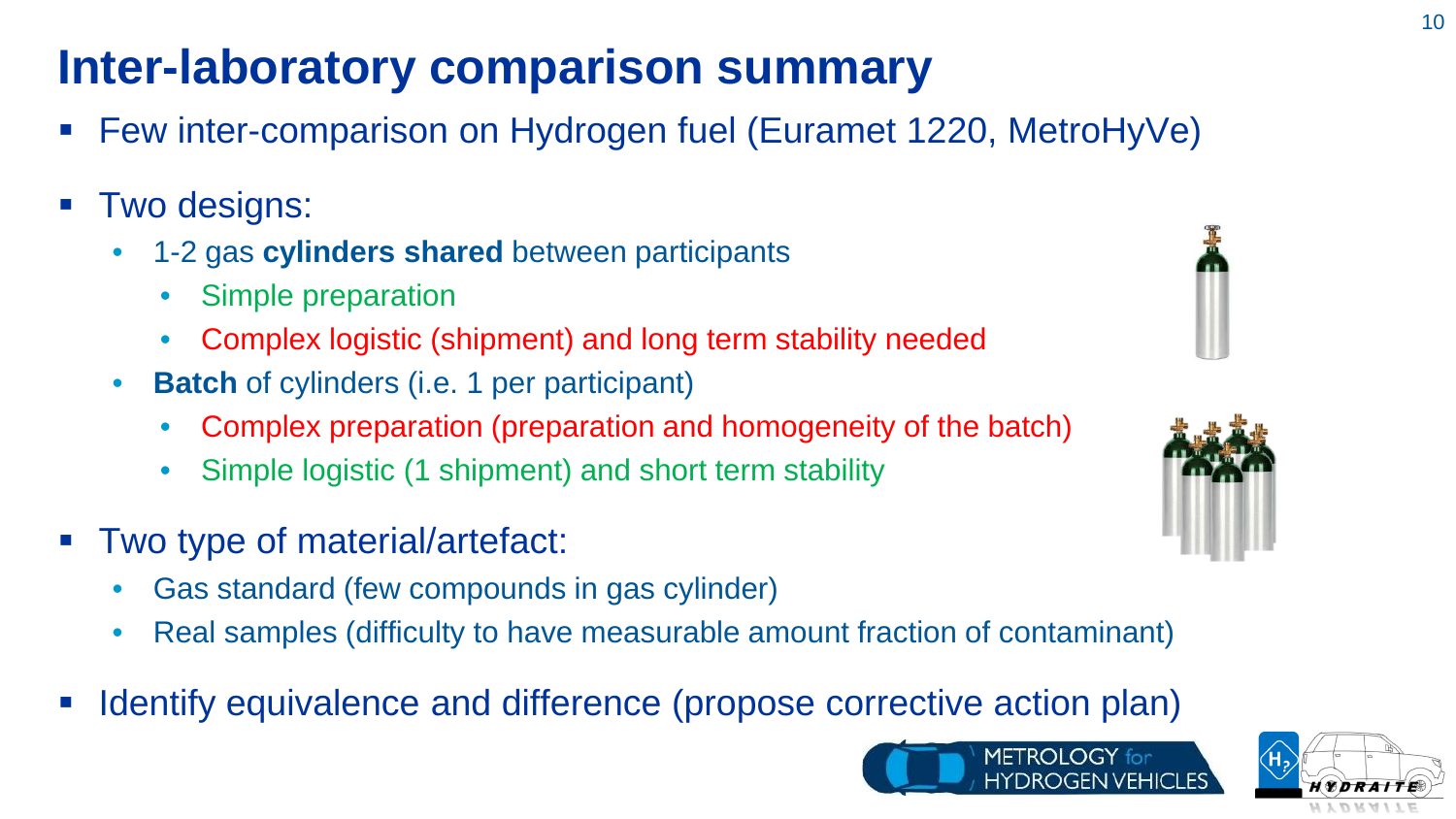# **Inter-laboratory comparison summary**

- Few inter-comparison on Hydrogen fuel (Euramet 1220, MetroHyVe)
- Two designs:
	- 1-2 gas **cylinders shared** between participants
		- Simple preparation
		- Complex logistic (shipment) and long term stability needed
	- **Batch** of cylinders (i.e. 1 per participant)
		- Complex preparation (preparation and homogeneity of the batch)
		- Simple logistic (1 shipment) and short term stability
- Two type of material/artefact:
	- Gas standard (few compounds in gas cylinder)
	- Real samples (difficulty to have measurable amount fraction of contaminant)
- Identify equivalence and difference (propose corrective action plan)







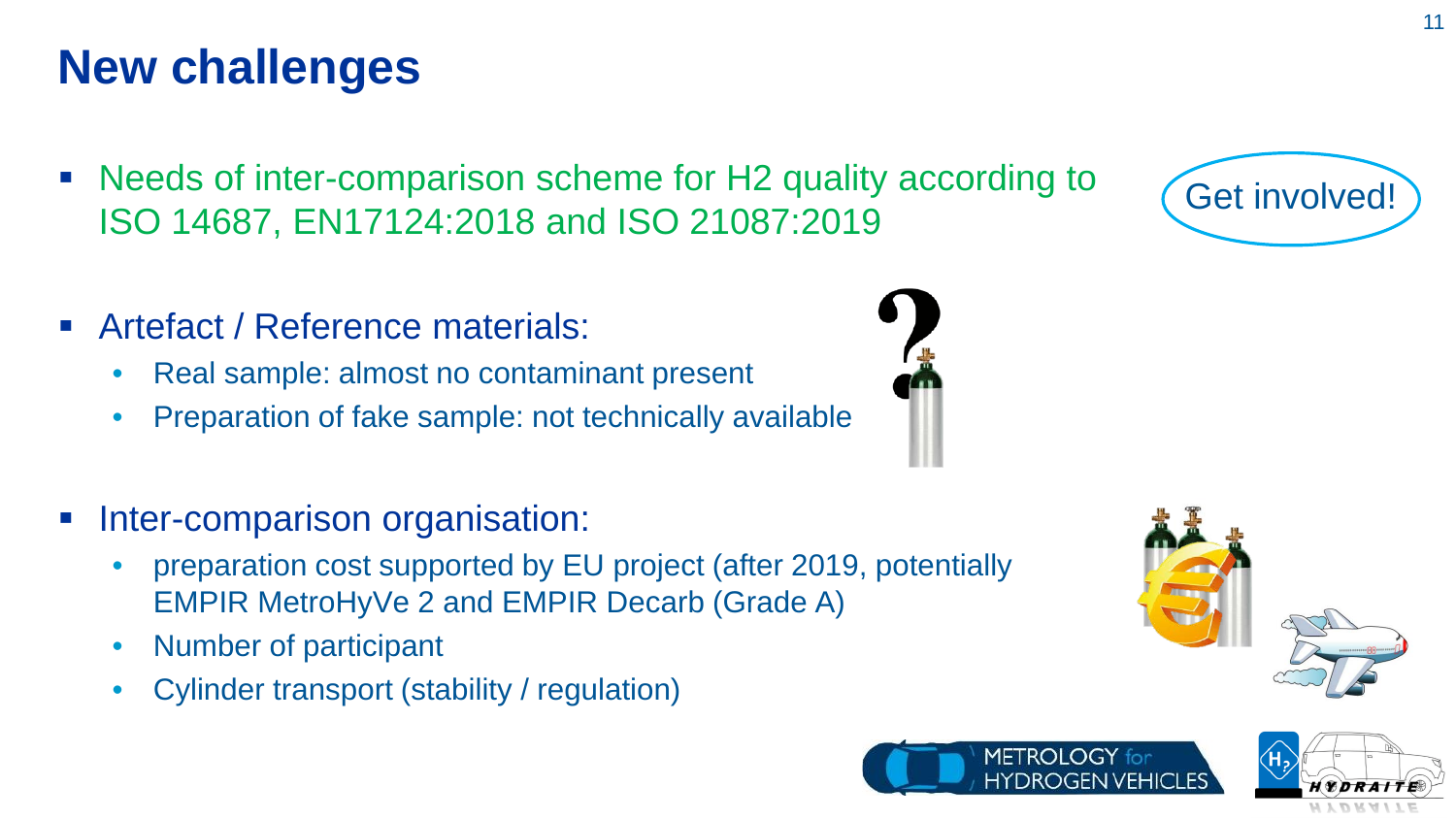## **New challenges**

- Needs of inter-comparison scheme for H2 quality according to ISO 14687, EN17124:2018 and ISO 21087:2019
- Artefact / Reference materials:
	- Real sample: almost no contaminant present
	- Preparation of fake sample: not technically available
- Inter-comparison organisation:
	- preparation cost supported by EU project (after 2019, potentially EMPIR MetroHyVe 2 and EMPIR Decarb (Grade A)
	- Number of participant
	- Cylinder transport (stability / regulation)

METROLOGY for





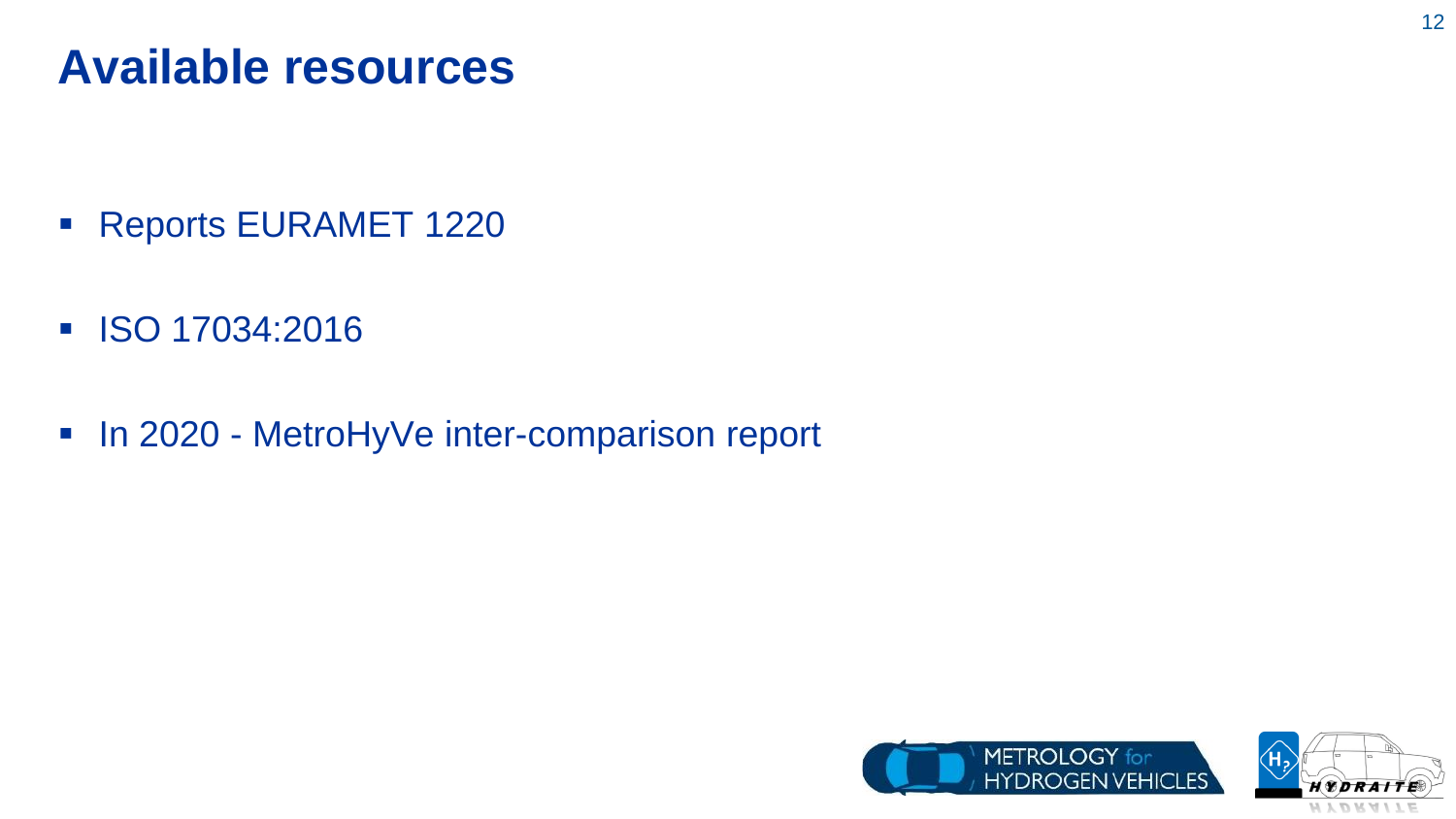### **Available resources**

- **Reports EURAMET 1220**
- **ISO 17034:2016**
- In 2020 MetroHyVe inter-comparison report